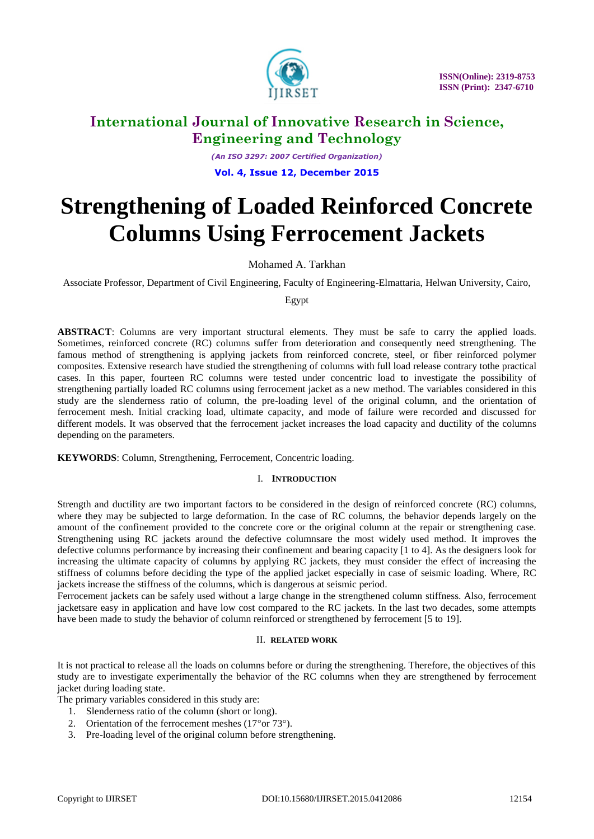

*(An ISO 3297: 2007 Certified Organization)* **Vol. 4, Issue 12, December 2015**

# **Strengthening of Loaded Reinforced Concrete Columns Using Ferrocement Jackets**

Mohamed A. Tarkhan

Associate Professor, Department of Civil Engineering, Faculty of Engineering-Elmattaria, Helwan University, Cairo,

Egypt

**ABSTRACT**: Columns are very important structural elements. They must be safe to carry the applied loads. Sometimes, reinforced concrete (RC) columns suffer from deterioration and consequently need strengthening. The famous method of strengthening is applying jackets from reinforced concrete, steel, or fiber reinforced polymer composites. Extensive research have studied the strengthening of columns with full load release contrary tothe practical cases. In this paper, fourteen RC columns were tested under concentric load to investigate the possibility of strengthening partially loaded RC columns using ferrocement jacket as a new method. The variables considered in this study are the slenderness ratio of column, the pre-loading level of the original column, and the orientation of ferrocement mesh. Initial cracking load, ultimate capacity, and mode of failure were recorded and discussed for different models. It was observed that the ferrocement jacket increases the load capacity and ductility of the columns depending on the parameters.

**KEYWORDS**: Column, Strengthening, Ferrocement, Concentric loading.

### I. **INTRODUCTION**

Strength and ductility are two important factors to be considered in the design of reinforced concrete (RC) columns, where they may be subjected to large deformation. In the case of RC columns, the behavior depends largely on the amount of the confinement provided to the concrete core or the original column at the repair or strengthening case. Strengthening using RC jackets around the defective columnsare the most widely used method. It improves the defective columns performance by increasing their confinement and bearing capacity [1 to 4]. As the designers look for increasing the ultimate capacity of columns by applying RC jackets, they must consider the effect of increasing the stiffness of columns before deciding the type of the applied jacket especially in case of seismic loading. Where, RC jackets increase the stiffness of the columns, which is dangerous at seismic period.

Ferrocement jackets can be safely used without a large change in the strengthened column stiffness. Also, ferrocement jacketsare easy in application and have low cost compared to the RC jackets. In the last two decades, some attempts have been made to study the behavior of column reinforced or strengthened by ferrocement [5 to 19].

### II. **RELATED WORK**

It is not practical to release all the loads on columns before or during the strengthening. Therefore, the objectives of this study are to investigate experimentally the behavior of the RC columns when they are strengthened by ferrocement jacket during loading state.

The primary variables considered in this study are:

- 1. Slenderness ratio of the column (short or long).
- 2. Orientation of the ferrocement meshes  $(17° \text{ or } 73°)$ .
- 3. Pre-loading level of the original column before strengthening.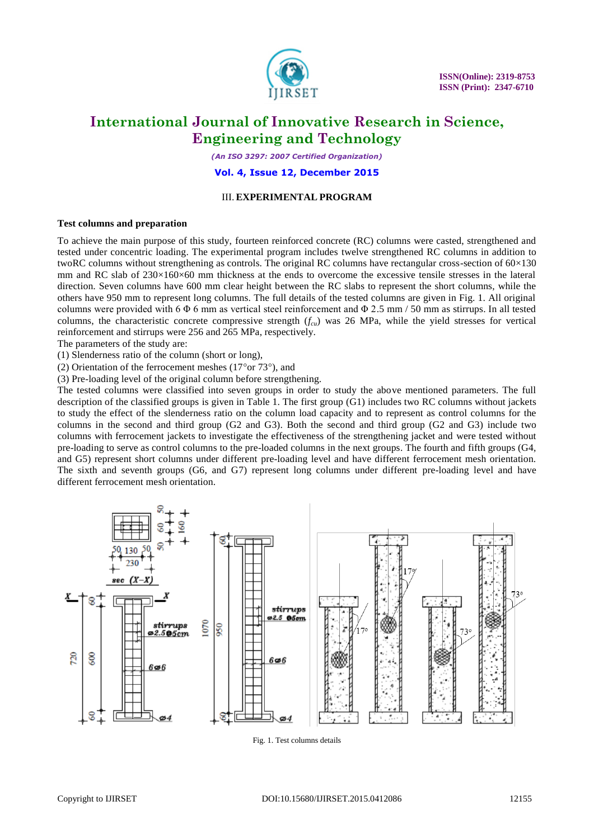

*(An ISO 3297: 2007 Certified Organization)*

**Vol. 4, Issue 12, December 2015**

### III. **EXPERIMENTAL PROGRAM**

#### **Test columns and preparation**

To achieve the main purpose of this study, fourteen reinforced concrete (RC) columns were casted, strengthened and tested under concentric loading. The experimental program includes twelve strengthened RC columns in addition to twoRC columns without strengthening as controls. The original RC columns have rectangular cross-section of 60×130 mm and RC slab of 230×160×60 mm thickness at the ends to overcome the excessive tensile stresses in the lateral direction. Seven columns have 600 mm clear height between the RC slabs to represent the short columns, while the others have 950 mm to represent long columns. The full details of the tested columns are given in Fig. 1. All original columns were provided with 6  $\Phi$  6 mm as vertical steel reinforcement and  $\Phi$  2.5 mm / 50 mm as stirrups. In all tested columns, the characteristic concrete compressive strength (*fcu*) was 26 MPa, while the yield stresses for vertical reinforcement and stirrups were 256 and 265 MPa, respectively.

The parameters of the study are:

(1) Slenderness ratio of the column (short or long),

(2) Orientation of the ferrocement meshes  $(17<sup>o</sup> or 73<sup>o</sup>)$ , and

(3) Pre-loading level of the original column before strengthening.

The tested columns were classified into seven groups in order to study the above mentioned parameters. The full description of the classified groups is given in Table 1. The first group (G1) includes two RC columns without jackets to study the effect of the slenderness ratio on the column load capacity and to represent as control columns for the columns in the second and third group (G2 and G3). Both the second and third group (G2 and G3) include two columns with ferrocement jackets to investigate the effectiveness of the strengthening jacket and were tested without pre-loading to serve as control columns to the pre-loaded columns in the next groups. The fourth and fifth groups (G4, and G5) represent short columns under different pre-loading level and have different ferrocement mesh orientation. The sixth and seventh groups (G6, and G7) represent long columns under different pre-loading level and have different ferrocement mesh orientation.



Fig. 1. Test columns details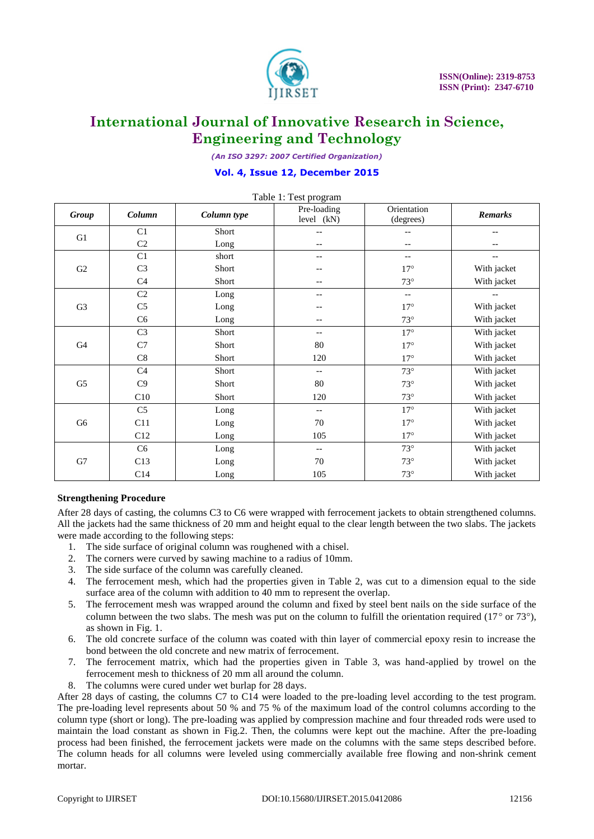

*(An ISO 3297: 2007 Certified Organization)*

### **Vol. 4, Issue 12, December 2015**

| Table 1: Test program |                |             |                           |                          |                          |  |  |
|-----------------------|----------------|-------------|---------------------------|--------------------------|--------------------------|--|--|
| Group                 | Column         | Column type | Pre-loading<br>level (kN) | Orientation<br>(degrees) |                          |  |  |
| G1                    | C1             | Short       | --                        | --                       |                          |  |  |
|                       | C2             | Long        | --                        | $-\, -$                  |                          |  |  |
|                       | C1             | short       | --                        | $\overline{\phantom{a}}$ | $- -$                    |  |  |
| G2                    | C <sub>3</sub> | Short       |                           | $17^{\circ}$             | With jacket              |  |  |
|                       | C <sub>4</sub> | Short       | --                        | $73^\circ$               | With jacket              |  |  |
|                       | C2             | Long        | --                        | $\overline{\phantom{a}}$ | $\overline{\phantom{a}}$ |  |  |
| G <sub>3</sub>        | C <sub>5</sub> | Long        |                           | $17^{\circ}$             | With jacket              |  |  |
|                       | C6             | Long        |                           | $73^\circ$               | With jacket              |  |  |
| G <sub>4</sub>        | C <sub>3</sub> | Short       | --                        | $17^{\circ}$             | With jacket              |  |  |
|                       | $\rm C7$       | Short       | 80                        | $17^{\circ}$             | With jacket              |  |  |
|                       | $\mbox{C}8$    | Short       | 120                       | $17^{\circ}$             | With jacket              |  |  |
|                       | C <sub>4</sub> | Short       | $-$                       | $73^\circ$               | With jacket              |  |  |
| G <sub>5</sub>        | C9             | Short       | 80                        | $73^{\circ}$             | With jacket              |  |  |
|                       | C10            | Short       | 120                       | $73^\circ$               | With jacket              |  |  |
| G <sub>6</sub>        | C <sub>5</sub> | Long        | $-$                       | $17^{\circ}$             | With jacket              |  |  |
|                       | C11            | Long        | 70                        | $17^{\circ}$             | With jacket              |  |  |
|                       | C12            | Long        | 105                       | $17^{\circ}$             | With jacket              |  |  |
| ${\rm G}7$            | C6             | Long        | $-$                       | $73^\circ$               | With jacket              |  |  |
|                       | C13            | Long        | 70                        | $73^\circ$               | With jacket              |  |  |
|                       | C14            | Long        | 105                       | $73^{\circ}$             | With jacket              |  |  |

### **Strengthening Procedure**

After 28 days of casting, the columns C3 to C6 were wrapped with ferrocement jackets to obtain strengthened columns. All the jackets had the same thickness of 20 mm and height equal to the clear length between the two slabs. The jackets were made according to the following steps:

- 1. The side surface of original column was roughened with a chisel.
- 2. The corners were curved by sawing machine to a radius of 10mm.
- 3. The side surface of the column was carefully cleaned.
- 4. The ferrocement mesh, which had the properties given in Table 2, was cut to a dimension equal to the side surface area of the column with addition to 40 mm to represent the overlap.
- 5. The ferrocement mesh was wrapped around the column and fixed by steel bent nails on the side surface of the column between the two slabs. The mesh was put on the column to fulfill the orientation required ( $17^{\circ}$  or  $73^{\circ}$ ), as shown in Fig. 1.
- 6. The old concrete surface of the column was coated with thin layer of commercial epoxy resin to increase the bond between the old concrete and new matrix of ferrocement.
- 7. The ferrocement matrix, which had the properties given in Table 3, was hand-applied by trowel on the ferrocement mesh to thickness of 20 mm all around the column.
- 8. The columns were cured under wet burlap for 28 days.

After 28 days of casting, the columns C7 to C14 were loaded to the pre-loading level according to the test program. The pre-loading level represents about 50 % and 75 % of the maximum load of the control columns according to the column type (short or long). The pre-loading was applied by compression machine and four threaded rods were used to maintain the load constant as shown in Fig.2. Then, the columns were kept out the machine. After the pre-loading process had been finished, the ferrocement jackets were made on the columns with the same steps described before. The column heads for all columns were leveled using commercially available free flowing and non-shrink cement mortar.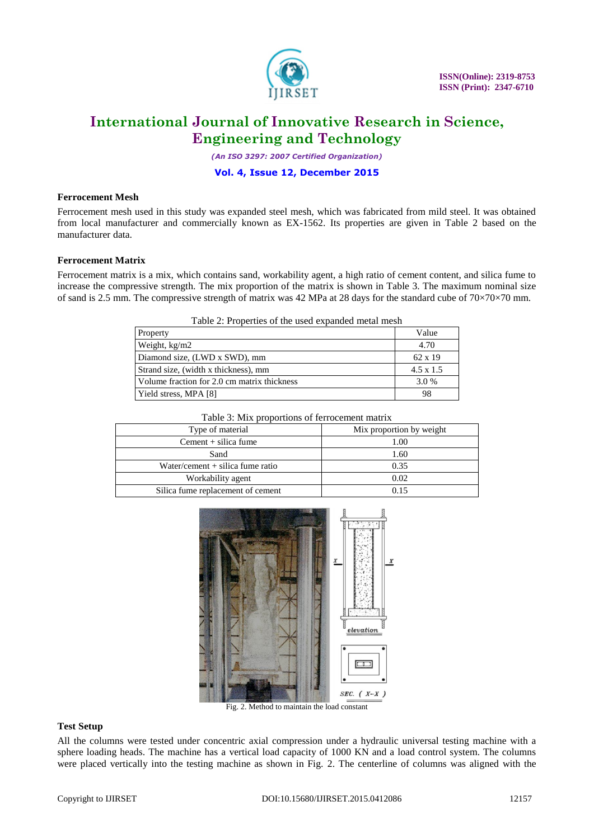

*(An ISO 3297: 2007 Certified Organization)*

### **Vol. 4, Issue 12, December 2015**

#### **Ferrocement Mesh**

Ferrocement mesh used in this study was expanded steel mesh, which was fabricated from mild steel. It was obtained from local manufacturer and commercially known as EX-1562. Its properties are given in Table 2 based on the manufacturer data.

### **Ferrocement Matrix**

Ferrocement matrix is a mix, which contains sand, workability agent, a high ratio of cement content, and silica fume to increase the compressive strength. The mix proportion of the matrix is shown in Table 3. The maximum nominal size of sand is 2.5 mm. The compressive strength of matrix was 42 MPa at 28 days for the standard cube of 70×70×70 mm.

| Table 2: Properties of the used expanded metal mesh |  |
|-----------------------------------------------------|--|
|-----------------------------------------------------|--|

| Property                                    | Value            |
|---------------------------------------------|------------------|
| Weight, kg/m2                               | 4.70             |
| Diamond size, (LWD x SWD), mm               | $62 \times 19$   |
| Strand size, (width x thickness), mm        | $4.5 \times 1.5$ |
| Volume fraction for 2.0 cm matrix thickness | 3.0 %            |
| Yield stress, MPA [8]                       | 98               |

| Table 3: Mix proportions of ferrocement matrix |                          |  |  |  |
|------------------------------------------------|--------------------------|--|--|--|
| Type of material                               | Mix proportion by weight |  |  |  |
| $Cement + silica fume$                         | 1.00                     |  |  |  |
| Sand                                           | 1.60                     |  |  |  |
| Water/cement $+$ silica fume ratio             | 0.35                     |  |  |  |
| Workability agent                              | 0.02                     |  |  |  |
| Silica fume replacement of cement              | በ 15                     |  |  |  |



Fig. 2. Method to maintain the load constant

#### **Test Setup**

All the columns were tested under concentric axial compression under a hydraulic universal testing machine with a sphere loading heads. The machine has a vertical load capacity of 1000 KN and a load control system. The columns were placed vertically into the testing machine as shown in Fig. 2. The centerline of columns was aligned with the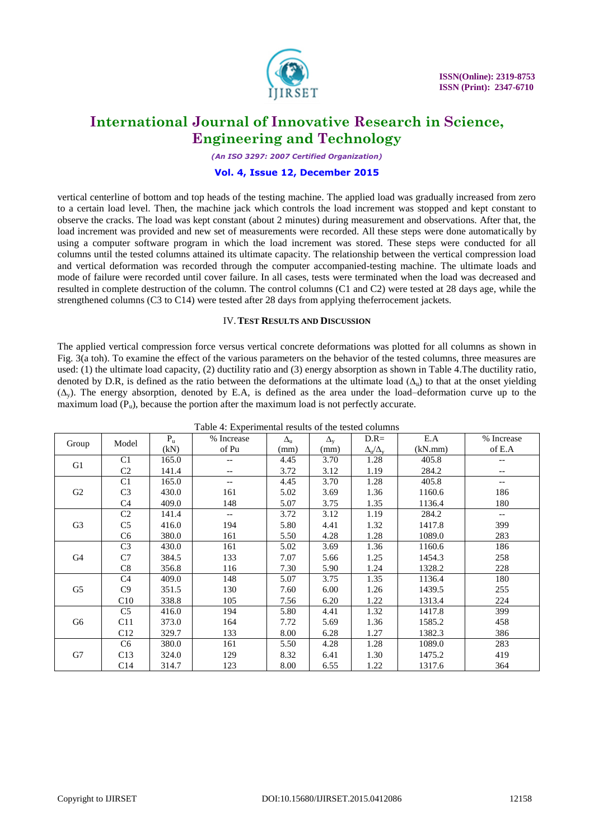

*(An ISO 3297: 2007 Certified Organization)*

### **Vol. 4, Issue 12, December 2015**

vertical centerline of bottom and top heads of the testing machine. The applied load was gradually increased from zero to a certain load level. Then, the machine jack which controls the load increment was stopped and kept constant to observe the cracks. The load was kept constant (about 2 minutes) during measurement and observations. After that, the load increment was provided and new set of measurements were recorded. All these steps were done automatically by using a computer software program in which the load increment was stored. These steps were conducted for all columns until the tested columns attained its ultimate capacity. The relationship between the vertical compression load and vertical deformation was recorded through the computer accompanied-testing machine. The ultimate loads and mode of failure were recorded until cover failure. In all cases, tests were terminated when the load was decreased and resulted in complete destruction of the column. The control columns (C1 and C2) were tested at 28 days age, while the strengthened columns (C3 to C14) were tested after 28 days from applying theferrocement jackets.

#### IV.**TEST RESULTS AND DISCUSSION**

The applied vertical compression force versus vertical concrete deformations was plotted for all columns as shown in Fig. 3(a toh). To examine the effect of the various parameters on the behavior of the tested columns, three measures are used: (1) the ultimate load capacity, (2) ductility ratio and (3) energy absorption as shown in Table 4.The ductility ratio, denoted by D.R, is defined as the ratio between the deformations at the ultimate load ( $\Delta_u$ ) to that at the onset yielding (∆y). The energy absorption, denoted by E.A, is defined as the area under the load–deformation curve up to the maximum load  $(P_u)$ , because the portion after the maximum load is not perfectly accurate.

| Table 4: Experimental results of the tested columns |                 |         |            |                  |                  |                                       |         |                          |
|-----------------------------------------------------|-----------------|---------|------------|------------------|------------------|---------------------------------------|---------|--------------------------|
| Group                                               | Model           | $P_{u}$ | % Increase | $\Delta_{\rm u}$ | $\Delta_{\rm v}$ | $D.R=$                                | E.A     | % Increase               |
|                                                     |                 | (kN)    | of Pu      | (mm)             | (mm)             | $\Delta_\mathrm{u}/\Delta_\mathrm{v}$ | (kN.mm) | of E.A                   |
| G1                                                  | C1              | 165.0   |            | 4.45             | 3.70             | 1.28                                  | 405.8   |                          |
|                                                     | C <sub>2</sub>  | 141.4   | --         | 3.72             | 3.12             | 1.19                                  | 284.2   |                          |
| G2                                                  | C <sub>1</sub>  | 165.0   | --         | 4.45             | 3.70             | 1.28                                  | 405.8   | $- -$                    |
|                                                     | C <sub>3</sub>  | 430.0   | 161        | 5.02             | 3.69             | 1.36                                  | 1160.6  | 186                      |
|                                                     | C <sub>4</sub>  | 409.0   | 148        | 5.07             | 3.75             | 1.35                                  | 1136.4  | 180                      |
|                                                     | C <sub>2</sub>  | 141.4   | --         | 3.72             | 3.12             | 1.19                                  | 284.2   | $\overline{\phantom{a}}$ |
| G <sub>3</sub>                                      | C <sub>5</sub>  | 416.0   | 194        | 5.80             | 4.41             | 1.32                                  | 1417.8  | 399                      |
|                                                     | C <sub>6</sub>  | 380.0   | 161        | 5.50             | 4.28             | 1.28                                  | 1089.0  | 283                      |
|                                                     | C <sub>3</sub>  | 430.0   | 161        | 5.02             | 3.69             | 1.36                                  | 1160.6  | 186                      |
| G4                                                  | C7              | 384.5   | 133        | 7.07             | 5.66             | 1.25                                  | 1454.3  | 258                      |
|                                                     | C8              | 356.8   | 116        | 7.30             | 5.90             | 1.24                                  | 1328.2  | 228                      |
| G5                                                  | C <sub>4</sub>  | 409.0   | 148        | 5.07             | 3.75             | 1.35                                  | 1136.4  | 180                      |
|                                                     | C9              | 351.5   | 130        | 7.60             | 6.00             | 1.26                                  | 1439.5  | 255                      |
|                                                     | C10             | 338.8   | 105        | 7.56             | 6.20             | 1.22                                  | 1313.4  | 224                      |
| G6                                                  | C <sub>5</sub>  | 416.0   | 194        | 5.80             | 4.41             | 1.32                                  | 1417.8  | 399                      |
|                                                     | C11             | 373.0   | 164        | 7.72             | 5.69             | 1.36                                  | 1585.2  | 458                      |
|                                                     | C12             | 329.7   | 133        | 8.00             | 6.28             | 1.27                                  | 1382.3  | 386                      |
| G7                                                  | C <sub>6</sub>  | 380.0   | 161        | 5.50             | 4.28             | 1.28                                  | 1089.0  | 283                      |
|                                                     | C13             | 324.0   | 129        | 8.32             | 6.41             | 1.30                                  | 1475.2  | 419                      |
|                                                     | C <sub>14</sub> | 314.7   | 123        | 8.00             | 6.55             | 1.22                                  | 1317.6  | 364                      |

Table 4: Experimental results of the tested columns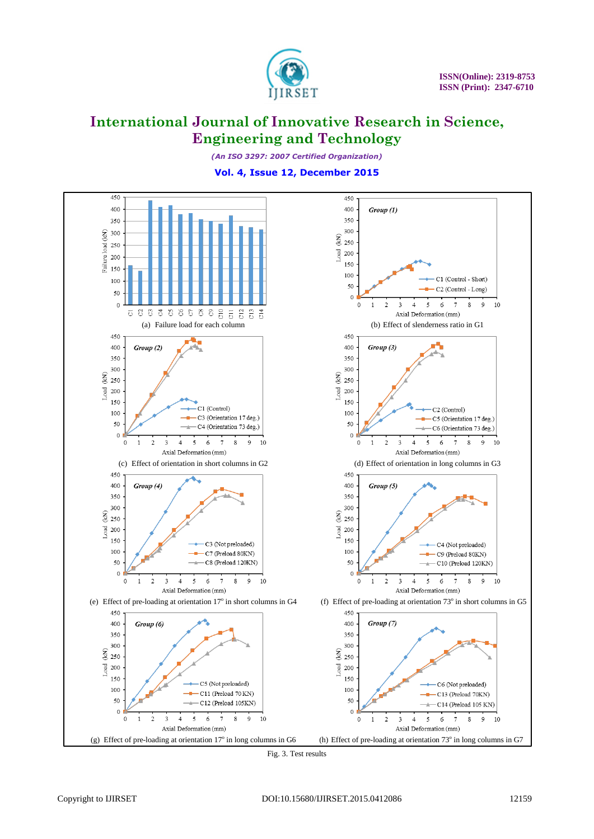

*(An ISO 3297: 2007 Certified Organization)*

**Vol. 4, Issue 12, December 2015**



Fig. 3. Test results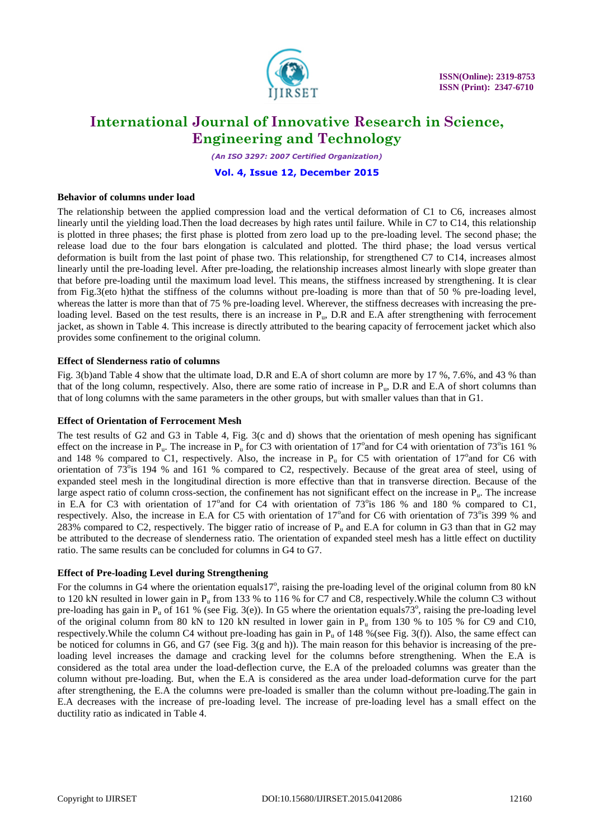

*(An ISO 3297: 2007 Certified Organization)*

### **Vol. 4, Issue 12, December 2015**

#### **Behavior of columns under load**

The relationship between the applied compression load and the vertical deformation of C1 to C6, increases almost linearly until the yielding load.Then the load decreases by high rates until failure. While in C7 to C14, this relationship is plotted in three phases; the first phase is plotted from zero load up to the pre-loading level. The second phase; the release load due to the four bars elongation is calculated and plotted. The third phase; the load versus vertical deformation is built from the last point of phase two. This relationship, for strengthened C7 to C14, increases almost linearly until the pre-loading level. After pre-loading, the relationship increases almost linearly with slope greater than that before pre-loading until the maximum load level. This means, the stiffness increased by strengthening. It is clear from Fig.3(eto h)that the stiffness of the columns without pre-loading is more than that of 50 % pre-loading level, whereas the latter is more than that of 75 % pre-loading level. Wherever, the stiffness decreases with increasing the preloading level. Based on the test results, there is an increase in  $P_{\text{u}}$ , D.R and E.A after strengthening with ferrocement jacket, as shown in Table 4. This increase is directly attributed to the bearing capacity of ferrocement jacket which also provides some confinement to the original column.

### **Effect of Slenderness ratio of columns**

Fig. 3(b)and Table 4 show that the ultimate load, D.R and E.A of short column are more by 17 %, 7.6%, and 43 % than that of the long column, respectively. Also, there are some ratio of increase in  $P_u$ , D.R and E.A of short columns than that of long columns with the same parameters in the other groups, but with smaller values than that in G1.

### **Effect of Orientation of Ferrocement Mesh**

The test results of G2 and G3 in Table 4, Fig. 3(c and d) shows that the orientation of mesh opening has significant effect on the increase in  $P_u$ . The increase in  $P_u$  for C3 with orientation of 17° and for C4 with orientation of 73° is 161 % and 148 % compared to C1, respectively. Also, the increase in  $P_u$  for C5 with orientation of 17° and for C6 with orientation of  $73^\circ$ is 194 % and 161 % compared to C2, respectively. Because of the great area of steel, using of expanded steel mesh in the longitudinal direction is more effective than that in transverse direction. Because of the large aspect ratio of column cross-section, the confinement has not significant effect on the increase in  $P_u$ . The increase in E.A for C3 with orientation of 17° and for C4 with orientation of 73° is 186 % and 180 % compared to C1, respectively. Also, the increase in E.A for C5 with orientation of 17 $^{\circ}$  and for C6 with orientation of 73 $^{\circ}$ is 399 % and 283% compared to C2, respectively. The bigger ratio of increase of  $P_u$  and E.A for column in G3 than that in G2 may be attributed to the decrease of slenderness ratio. The orientation of expanded steel mesh has a little effect on ductility ratio. The same results can be concluded for columns in G4 to G7.

### **Effect of Pre-loading Level during Strengthening**

For the columns in G4 where the orientation equals17°, raising the pre-loading level of the original column from 80 kN to 120 kN resulted in lower gain in  $P_u$  from 133 % to 116 % for C7 and C8, respectively. While the column C3 without pre-loading has gain in  $P_u$  of 161 % (see Fig. 3(e)). In G5 where the orientation equals  $73^\circ$ , raising the pre-loading level of the original column from 80 kN to 120 kN resulted in lower gain in  $P_u$  from 130 % to 105 % for C9 and C10, respectively. While the column C4 without pre-loading has gain in  $P_u$  of 148 % (see Fig. 3(f)). Also, the same effect can be noticed for columns in G6, and G7 (see Fig. 3(g and h)). The main reason for this behavior is increasing of the preloading level increases the damage and cracking level for the columns before strengthening. When the E.A is considered as the total area under the load-deflection curve, the E.A of the preloaded columns was greater than the column without pre-loading. But, when the E.A is considered as the area under load-deformation curve for the part after strengthening, the E.A the columns were pre-loaded is smaller than the column without pre-loading.The gain in E.A decreases with the increase of pre-loading level. The increase of pre-loading level has a small effect on the ductility ratio as indicated in Table 4.